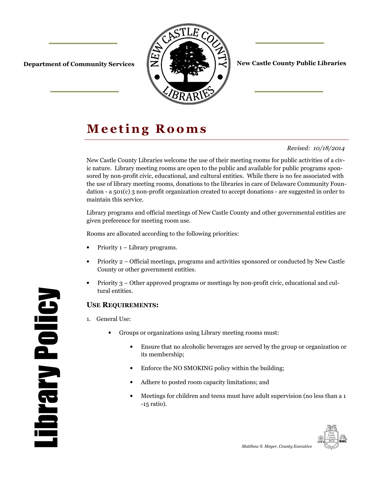

**Department of Community Services**  $\|\mathbf{Z}\|$  **of**  $\|\mathbf{Z}\|$  $\|\mathbf{Z}\|$  **New Castle County Public Libraries** 

# **Meeting Rooms**

#### *Revised: 10/18/2014*

New Castle County Libraries welcome the use of their meeting rooms for public activities of a civic nature. Library meeting rooms are open to the public and available for public programs sponsored by non-profit civic, educational, and cultural entities. While there is no fee associated with the use of library meeting rooms, donations to the libraries in care of Delaware Community Foundation - a 501(c) 3 non-profit organization created to accept donations - are suggested in order to maintain this service.

Library programs and official meetings of New Castle County and other governmental entities are given preference for meeting room use.

Rooms are allocated according to the following priorities:

- Priority 1 Library programs.
- Priority 2 Official meetings, programs and activities sponsored or conducted by New Castle County or other government entities.
- Priority 3 Other approved programs or meetings by non-profit civic, educational and cultural entities.

#### **USE REQUIREMENTS:**

- 1. General Use:
	- Groups or organizations using Library meeting rooms must:
		- Ensure that no alcoholic beverages are served by the group or organization or its membership;
		- Enforce the NO SMOKING policy within the building;
		- Adhere to posted room capacity limitations; and
		- Meetings for children and teens must have adult supervision (no less than a 1 -15 ratio).

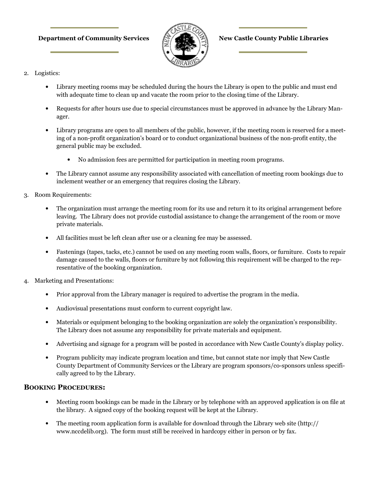#### **Department of Community Services**  $\mathbb{R}$  **All New Castle County Public Libraries**



- 2. Logistics:
	- Library meeting rooms may be scheduled during the hours the Library is open to the public and must end with adequate time to clean up and vacate the room prior to the closing time of the Library.
	- Requests for after hours use due to special circumstances must be approved in advance by the Library Manager.
	- Library programs are open to all members of the public, however, if the meeting room is reserved for a meeting of a non-profit organization's board or to conduct organizational business of the non-profit entity, the general public may be excluded.
		- No admission fees are permitted for participation in meeting room programs.
	- The Library cannot assume any responsibility associated with cancellation of meeting room bookings due to inclement weather or an emergency that requires closing the Library.
- 3. Room Requirements:
	- The organization must arrange the meeting room for its use and return it to its original arrangement before leaving. The Library does not provide custodial assistance to change the arrangement of the room or move private materials.
	- All facilities must be left clean after use or a cleaning fee may be assessed.
	- Fastenings (tapes, tacks, etc.) cannot be used on any meeting room walls, floors, or furniture. Costs to repair damage caused to the walls, floors or furniture by not following this requirement will be charged to the representative of the booking organization.
- 4. Marketing and Presentations:
	- Prior approval from the Library manager is required to advertise the program in the media.
	- Audiovisual presentations must conform to current copyright law.
	- Materials or equipment belonging to the booking organization are solely the organization's responsibility. The Library does not assume any responsibility for private materials and equipment.
	- Advertising and signage for a program will be posted in accordance with New Castle County's display policy.
	- Program publicity may indicate program location and time, but cannot state nor imply that New Castle County Department of Community Services or the Library are program sponsors/co-sponsors unless specifically agreed to by the Library.

#### **BOOKING PROCEDURES:**

- Meeting room bookings can be made in the Library or by telephone with an approved application is on file at the library. A signed copy of the booking request will be kept at the Library.
- The meeting room application form is available for download through the Library web site (http:// www.nccdelib.org). The form must still be received in hardcopy either in person or by fax.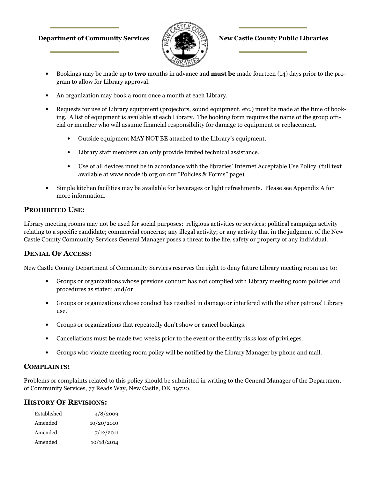#### **Department of Community Services**  $\frac{1}{\sqrt{2}}$  **(Eq. 1) New Castle County Public Libraries**



- Bookings may be made up to **two** months in advance and **must be** made fourteen (14) days prior to the program to allow for Library approval.
- An organization may book a room once a month at each Library.
- Requests for use of Library equipment (projectors, sound equipment, etc.) must be made at the time of booking. A list of equipment is available at each Library. The booking form requires the name of the group official or member who will assume financial responsibility for damage to equipment or replacement.
	- Outside equipment MAY NOT BE attached to the Library's equipment.
	- Library staff members can only provide limited technical assistance.
	- Use of all devices must be in accordance with the libraries' Internet Acceptable Use Policy (full text available at www.nccdelib.org on our "Policies & Forms" page).
- Simple kitchen facilities may be available for beverages or light refreshments. Please see Appendix A for more information.

#### **PROHIBITED USE:**

Library meeting rooms may not be used for social purposes: religious activities or services; political campaign activity relating to a specific candidate; commercial concerns; any illegal activity; or any activity that in the judgment of the New Castle County Community Services General Manager poses a threat to the life, safety or property of any individual.

### **DENIAL OF ACCESS:**

New Castle County Department of Community Services reserves the right to deny future Library meeting room use to:

- Groups or organizations whose previous conduct has not complied with Library meeting room policies and procedures as stated; and/or
- Groups or organizations whose conduct has resulted in damage or interfered with the other patrons' Library use.
- Groups or organizations that repeatedly don't show or cancel bookings.
- Cancellations must be made two weeks prior to the event or the entity risks loss of privileges.
- Groups who violate meeting room policy will be notified by the Library Manager by phone and mail.

#### **COMPLAINTS:**

Problems or complaints related to this policy should be submitted in writing to the General Manager of the Department of Community Services, 77 Reads Way, New Castle, DE 19720.

#### **HISTORY OF REVISIONS:**

| Established | 4/8/2009   |  |
|-------------|------------|--|
| Amended     | 10/20/2010 |  |
| Amended     | 7/12/2011  |  |
| Amended     | 10/18/2014 |  |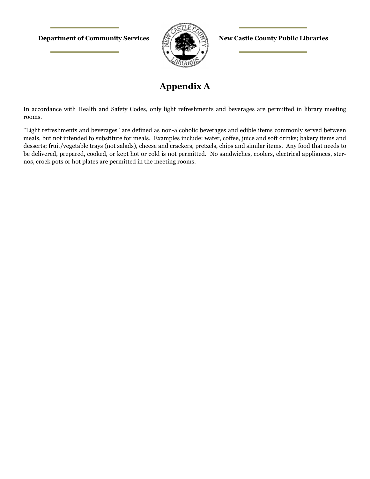**Department of Community Services**  $\mathbb{R}$  **All New Castle County Public Libraries** 



## **Appendix A**

In accordance with Health and Safety Codes, only light refreshments and beverages are permitted in library meeting rooms.

"Light refreshments and beverages" are defined as non-alcoholic beverages and edible items commonly served between meals, but not intended to substitute for meals. Examples include: water, coffee, juice and soft drinks; bakery items and desserts; fruit/vegetable trays (not salads), cheese and crackers, pretzels, chips and similar items. Any food that needs to be delivered, prepared, cooked, or kept hot or cold is not permitted. No sandwiches, coolers, electrical appliances, sternos, crock pots or hot plates are permitted in the meeting rooms.